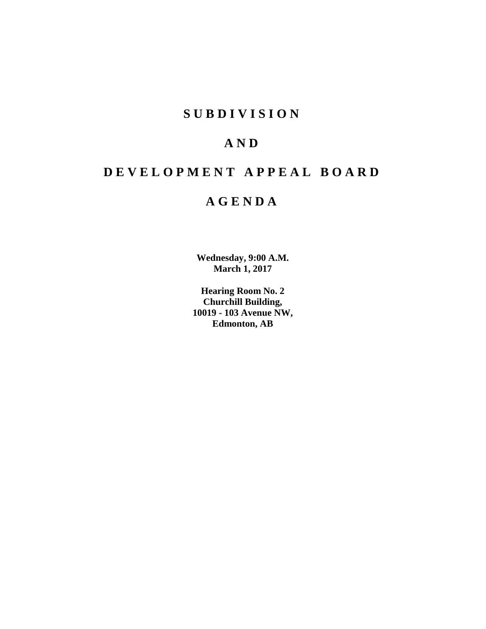# **SUBDIVISION**

# **AND**

# **DEVELOPMENT APPEAL BOARD**

# **AGENDA**

**Wednesday, 9:00 A.M. March 1, 2017**

**Hearing Room No. 2 Churchill Building, 10019 - 103 Avenue NW, Edmonton, AB**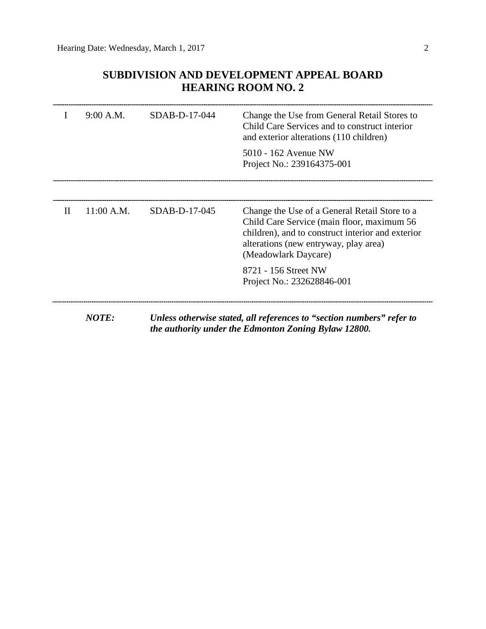# **SUBDIVISION AND DEVELOPMENT APPEAL BOARD HEARING ROOM NO. 2**

|   | 9:00 A.M.  | $SDAB-D-17-044$ | Change the Use from General Retail Stores to<br>Child Care Services and to construct interior<br>and exterior alterations (110 children)                                                                          |  |
|---|------------|-----------------|-------------------------------------------------------------------------------------------------------------------------------------------------------------------------------------------------------------------|--|
|   |            |                 | 5010 - 162 Avenue NW<br>Project No.: 239164375-001                                                                                                                                                                |  |
|   |            |                 |                                                                                                                                                                                                                   |  |
| H | 11:00 A.M. | SDAB-D-17-045   | Change the Use of a General Retail Store to a<br>Child Care Service (main floor, maximum 56<br>children), and to construct interior and exterior<br>alterations (new entryway, play area)<br>(Meadowlark Daycare) |  |
|   |            |                 | 8721 - 156 Street NW<br>Project No.: 232628846-001                                                                                                                                                                |  |
|   | NOTE:      |                 | Unless otherwise stated, all references to "section numbers" refer to                                                                                                                                             |  |

*the authority under the Edmonton Zoning Bylaw 12800.*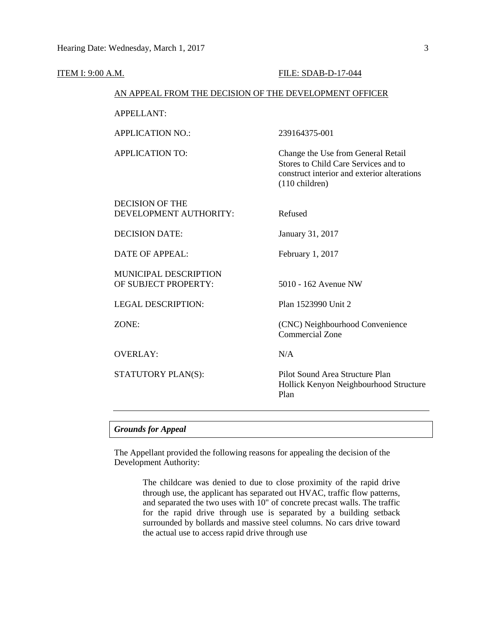| ITEM I: 9:00 A.M. |                                                        | <b>FILE: SDAB-D-17-044</b>                                                                                                                            |  |
|-------------------|--------------------------------------------------------|-------------------------------------------------------------------------------------------------------------------------------------------------------|--|
|                   | AN APPEAL FROM THE DECISION OF THE DEVELOPMENT OFFICER |                                                                                                                                                       |  |
|                   | <b>APPELLANT:</b>                                      |                                                                                                                                                       |  |
|                   | <b>APPLICATION NO.:</b>                                | 239164375-001                                                                                                                                         |  |
|                   | <b>APPLICATION TO:</b>                                 | Change the Use from General Retail<br>Stores to Child Care Services and to<br>construct interior and exterior alterations<br>$(110 \text{ children})$ |  |
|                   | <b>DECISION OF THE</b><br>DEVELOPMENT AUTHORITY:       | Refused                                                                                                                                               |  |
|                   | <b>DECISION DATE:</b>                                  | January 31, 2017                                                                                                                                      |  |
|                   | <b>DATE OF APPEAL:</b>                                 | February 1, 2017                                                                                                                                      |  |
|                   | MUNICIPAL DESCRIPTION<br>OF SUBJECT PROPERTY:          | 5010 - 162 Avenue NW                                                                                                                                  |  |
|                   | <b>LEGAL DESCRIPTION:</b>                              | Plan 1523990 Unit 2                                                                                                                                   |  |
|                   | ZONE:                                                  | (CNC) Neighbourhood Convenience<br><b>Commercial Zone</b>                                                                                             |  |
|                   | <b>OVERLAY:</b>                                        | N/A                                                                                                                                                   |  |
|                   | STATUTORY PLAN(S):                                     | Pilot Sound Area Structure Plan<br>Hollick Kenyon Neighbourhood Structure<br>Plan                                                                     |  |
|                   |                                                        |                                                                                                                                                       |  |

# *Grounds for Appeal*

The Appellant provided the following reasons for appealing the decision of the Development Authority:

> The childcare was denied to due to close proximity of the rapid drive through use, the applicant has separated out HVAC, traffic flow patterns, and separated the two uses with 10" of concrete precast walls. The traffic for the rapid drive through use is separated by a building setback surrounded by bollards and massive steel columns. No cars drive toward the actual use to access rapid drive through use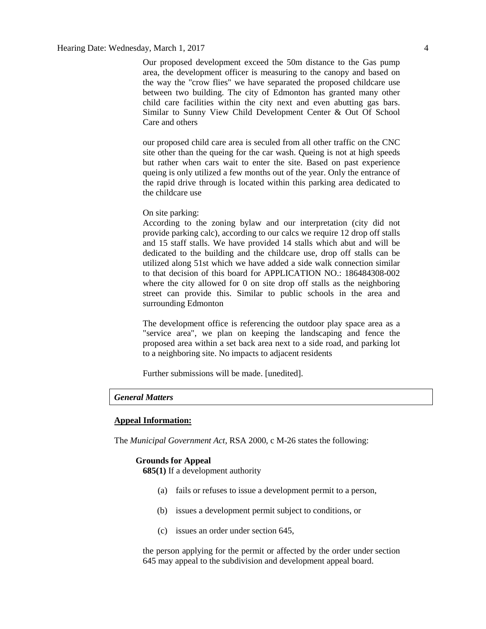Our proposed development exceed the 50m distance to the Gas pump area, the development officer is measuring to the canopy and based on the way the "crow flies" we have separated the proposed childcare use between two building. The city of Edmonton has granted many other child care facilities within the city next and even abutting gas bars. Similar to Sunny View Child Development Center & Out Of School Care and others

our proposed child care area is seculed from all other traffic on the CNC site other than the queing for the car wash. Queing is not at high speeds but rather when cars wait to enter the site. Based on past experience queing is only utilized a few months out of the year. Only the entrance of the rapid drive through is located within this parking area dedicated to the childcare use

#### On site parking:

According to the zoning bylaw and our interpretation (city did not provide parking calc), according to our calcs we require 12 drop off stalls and 15 staff stalls. We have provided 14 stalls which abut and will be dedicated to the building and the childcare use, drop off stalls can be utilized along 51st which we have added a side walk connection similar to that decision of this board for APPLICATION NO.: 186484308-002 where the city allowed for 0 on site drop off stalls as the neighboring street can provide this. Similar to public schools in the area and surrounding Edmonton

The development office is referencing the outdoor play space area as a "service area", we plan on keeping the landscaping and fence the proposed area within a set back area next to a side road, and parking lot to a neighboring site. No impacts to adjacent residents

Further submissions will be made. [unedited].

# *General Matters*

#### **Appeal Information:**

The *Municipal Government Act*, RSA 2000, c M-26 states the following:

#### **Grounds for Appeal**

**685(1)** If a development authority

- (a) fails or refuses to issue a development permit to a person,
- (b) issues a development permit subject to conditions, or
- (c) issues an order under section 645,

the person applying for the permit or affected by the order under section 645 may appeal to the subdivision and development appeal board.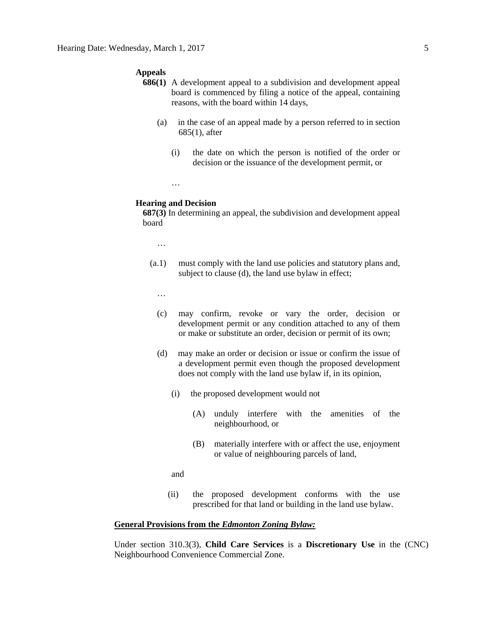#### **Appeals**

- **686(1)** A development appeal to a subdivision and development appeal board is commenced by filing a notice of the appeal, containing reasons, with the board within 14 days,
	- (a) in the case of an appeal made by a person referred to in section 685(1), after
		- (i) the date on which the person is notified of the order or decision or the issuance of the development permit, or
		- …

#### **Hearing and Decision**

**687(3)** In determining an appeal, the subdivision and development appeal board

…

(a.1) must comply with the land use policies and statutory plans and, subject to clause (d), the land use bylaw in effect;

…

- (c) may confirm, revoke or vary the order, decision or development permit or any condition attached to any of them or make or substitute an order, decision or permit of its own;
- (d) may make an order or decision or issue or confirm the issue of a development permit even though the proposed development does not comply with the land use bylaw if, in its opinion,
	- (i) the proposed development would not
		- (A) unduly interfere with the amenities of the neighbourhood, or
		- (B) materially interfere with or affect the use, enjoyment or value of neighbouring parcels of land,

and

(ii) the proposed development conforms with the use prescribed for that land or building in the land use bylaw.

#### **General Provisions from the** *Edmonton Zoning Bylaw:*

Under section 310.3(3), **Child Care Services** is a **Discretionary Use** in the (CNC) Neighbourhood Convenience Commercial Zone.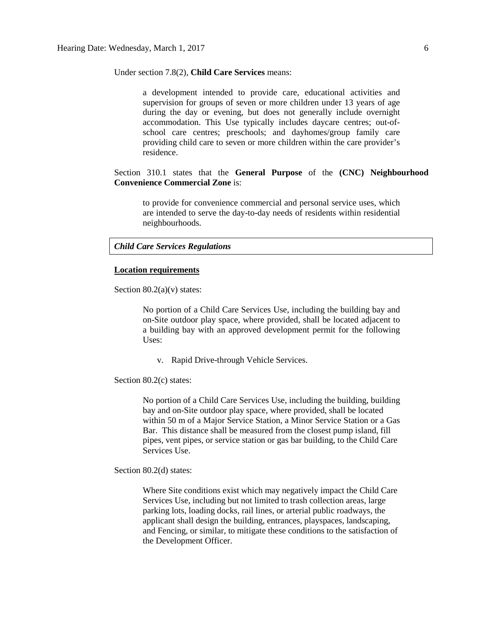Under section 7.8(2), **Child Care Services** means:

a development intended to provide care, educational activities and supervision for groups of seven or more children under 13 years of age during the day or evening, but does not generally include overnight accommodation. This Use typically includes daycare centres; out-ofschool care centres; preschools; and dayhomes/group family care providing child care to seven or more children within the care provider's residence.

Section 310.1 states that the **General Purpose** of the **(CNC) Neighbourhood Convenience Commercial Zone** is:

to provide for convenience commercial and personal service uses, which are intended to serve the day-to-day needs of residents within residential neighbourhoods.

#### *Child Care Services Regulations*

#### **Location requirements**

Section  $80.2(a)(v)$  states:

No portion of a Child Care Services Use, including the building bay and on-Site outdoor play space, where provided, shall be located adjacent to a building bay with an approved development permit for the following Uses:

v. Rapid Drive-through Vehicle Services.

Section 80.2(c) states:

No portion of a Child Care Services Use, including the building, building bay and on-Site outdoor play space, where provided, shall be located within 50 m of a Major Service Station, a Minor Service Station or a Gas Bar. This distance shall be measured from the closest pump island, fill pipes, vent pipes, or service station or gas bar building, to the Child Care Services Use.

Section 80.2(d) states:

Where Site conditions exist which may negatively impact the Child Care Services Use, including but not limited to trash collection areas, large parking lots, loading docks, rail lines, or arterial public roadways, the applicant shall design the building, entrances, playspaces, landscaping, and Fencing, or similar, to mitigate these conditions to the satisfaction of the Development Officer.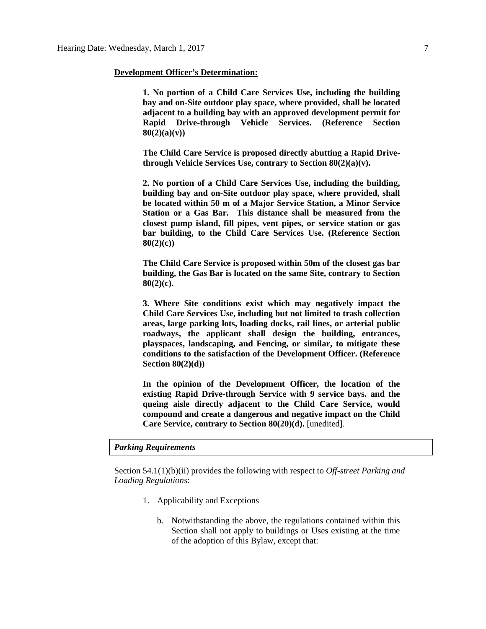#### **Development Officer's Determination:**

**1. No portion of a Child Care Services Use, including the building bay and on-Site outdoor play space, where provided, shall be located adjacent to a building bay with an approved development permit for Rapid Drive-through Vehicle Services. (Reference Section 80(2)(a)(v))**

**The Child Care Service is proposed directly abutting a Rapid Drivethrough Vehicle Services Use, contrary to Section 80(2)(a)(v).**

**2. No portion of a Child Care Services Use, including the building, building bay and on-Site outdoor play space, where provided, shall be located within 50 m of a Major Service Station, a Minor Service Station or a Gas Bar. This distance shall be measured from the closest pump island, fill pipes, vent pipes, or service station or gas bar building, to the Child Care Services Use. (Reference Section 80(2)(c))**

**The Child Care Service is proposed within 50m of the closest gas bar building, the Gas Bar is located on the same Site, contrary to Section 80(2)(c).**

**3. Where Site conditions exist which may negatively impact the Child Care Services Use, including but not limited to trash collection areas, large parking lots, loading docks, rail lines, or arterial public roadways, the applicant shall design the building, entrances, playspaces, landscaping, and Fencing, or similar, to mitigate these conditions to the satisfaction of the Development Officer. (Reference Section 80(2)(d))**

**In the opinion of the Development Officer, the location of the existing Rapid Drive-through Service with 9 service bays. and the queing aisle directly adjacent to the Child Care Service, would compound and create a dangerous and negative impact on the Child Care Service, contrary to Section 80(20)(d).** [unedited].

### *Parking Requirements*

Section 54.1(1)(b)(ii) provides the following with respect to *Off-street Parking and Loading Regulations*:

- 1. Applicability and Exceptions
	- b. Notwithstanding the above, the regulations contained within this Section shall not apply to buildings or Uses existing at the time of the adoption of this Bylaw, except that: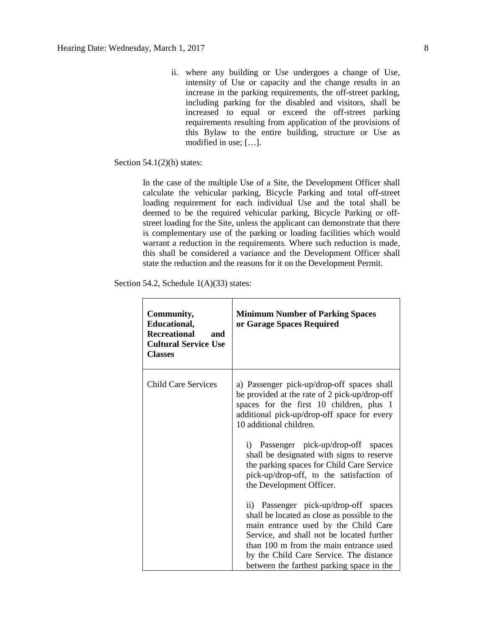ii. where any building or Use undergoes a change of Use, intensity of Use or capacity and the change results in an increase in the parking requirements, the off-street parking, including parking for the disabled and visitors, shall be increased to equal or exceed the off-street parking requirements resulting from application of the provisions of this Bylaw to the entire building, structure or Use as modified in use; […].

Section  $54.1(2)$ (h) states:

In the case of the multiple Use of a Site, the Development Officer shall calculate the vehicular parking, Bicycle Parking and total off-street loading requirement for each individual Use and the total shall be deemed to be the required vehicular parking, Bicycle Parking or offstreet loading for the Site, unless the applicant can demonstrate that there is complementary use of the parking or loading facilities which would warrant a reduction in the requirements. Where such reduction is made, this shall be considered a variance and the Development Officer shall state the reduction and the reasons for it on the Development Permit.

Section 54.2, Schedule 1(A)(33) states:

| Community,<br>Educational,<br><b>Recreational</b><br>and<br><b>Cultural Service Use</b><br><b>Classes</b> | <b>Minimum Number of Parking Spaces</b><br>or Garage Spaces Required                                                                                                                                                                                                                                         |
|-----------------------------------------------------------------------------------------------------------|--------------------------------------------------------------------------------------------------------------------------------------------------------------------------------------------------------------------------------------------------------------------------------------------------------------|
| <b>Child Care Services</b>                                                                                | a) Passenger pick-up/drop-off spaces shall<br>be provided at the rate of 2 pick-up/drop-off<br>spaces for the first 10 children, plus 1<br>additional pick-up/drop-off space for every<br>10 additional children.                                                                                            |
|                                                                                                           | i) Passenger pick-up/drop-off spaces<br>shall be designated with signs to reserve<br>the parking spaces for Child Care Service<br>pick-up/drop-off, to the satisfaction of<br>the Development Officer.                                                                                                       |
|                                                                                                           | ii) Passenger pick-up/drop-off spaces<br>shall be located as close as possible to the<br>main entrance used by the Child Care<br>Service, and shall not be located further<br>than 100 m from the main entrance used<br>by the Child Care Service. The distance<br>between the farthest parking space in the |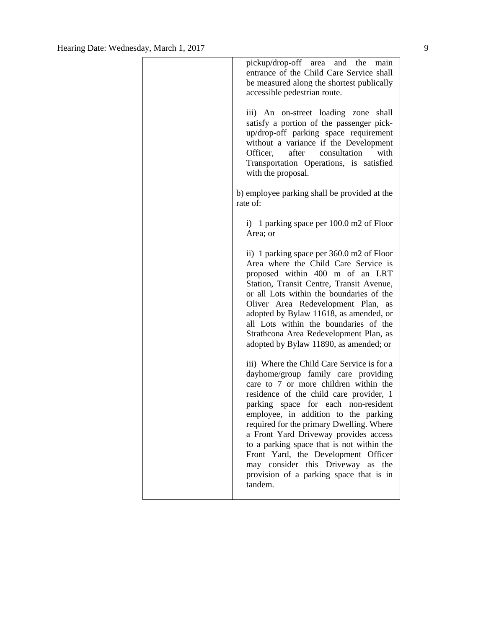| pickup/drop-off area and the main<br>entrance of the Child Care Service shall<br>be measured along the shortest publically<br>accessible pedestrian route.                                                                                                                                                                                                                                                                                                                                                                     |
|--------------------------------------------------------------------------------------------------------------------------------------------------------------------------------------------------------------------------------------------------------------------------------------------------------------------------------------------------------------------------------------------------------------------------------------------------------------------------------------------------------------------------------|
| iii) An on-street loading zone shall<br>satisfy a portion of the passenger pick-<br>up/drop-off parking space requirement<br>without a variance if the Development<br>Officer,<br>after<br>consultation<br>with<br>Transportation Operations, is satisfied<br>with the proposal.                                                                                                                                                                                                                                               |
| b) employee parking shall be provided at the<br>rate of:                                                                                                                                                                                                                                                                                                                                                                                                                                                                       |
| i) 1 parking space per $100.0$ m2 of Floor<br>Area; or                                                                                                                                                                                                                                                                                                                                                                                                                                                                         |
| ii) 1 parking space per 360.0 m2 of Floor<br>Area where the Child Care Service is<br>proposed within 400 m of an LRT<br>Station, Transit Centre, Transit Avenue,<br>or all Lots within the boundaries of the<br>Oliver Area Redevelopment Plan, as<br>adopted by Bylaw 11618, as amended, or<br>all Lots within the boundaries of the<br>Strathcona Area Redevelopment Plan, as<br>adopted by Bylaw 11890, as amended; or                                                                                                      |
| iii) Where the Child Care Service is for a<br>dayhome/group family care providing<br>care to 7 or more children within the<br>residence of the child care provider, 1<br>parking space for each non-resident<br>employee, in addition to the parking<br>required for the primary Dwelling. Where<br>a Front Yard Driveway provides access<br>to a parking space that is not within the<br>Front Yard, the Development Officer<br>may consider this Driveway<br>as<br>the<br>provision of a parking space that is in<br>tandem. |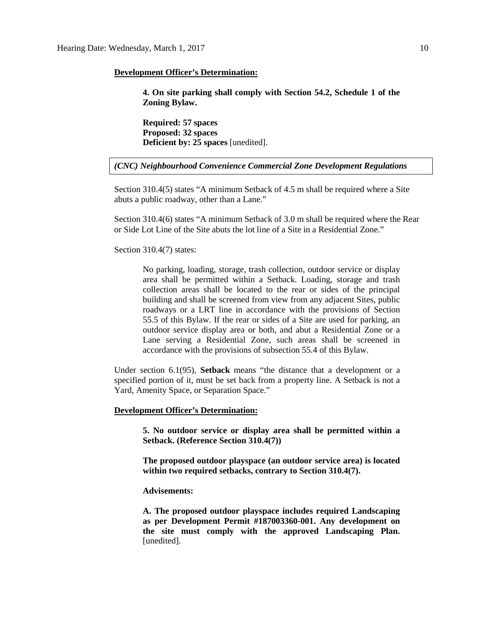#### **Development Officer's Determination:**

**4. On site parking shall comply with Section 54.2, Schedule 1 of the Zoning Bylaw.** 

**Required: 57 spaces Proposed: 32 spaces Deficient by: 25 spaces** [unedited].

*(CNC) Neighbourhood Convenience Commercial Zone Development Regulations*

Section 310.4(5) states "A minimum Setback of 4.5 m shall be required where a Site abuts a public roadway, other than a Lane."

Section 310.4(6) states "A minimum Setback of 3.0 m shall be required where the Rear or Side Lot Line of the Site abuts the lot line of a Site in a Residential Zone."

#### Section 310.4(7) states:

No parking, loading, storage, trash collection, outdoor service or display area shall be permitted within a Setback. Loading, storage and trash collection areas shall be located to the rear or sides of the principal building and shall be screened from view from any adjacent Sites, public roadways or a LRT line in accordance with the provisions of Section 55.5 of this Bylaw. If the rear or sides of a Site are used for parking, an outdoor service display area or both, and abut a Residential Zone or a Lane serving a Residential Zone, such areas shall be screened in accordance with the provisions of subsection 55.4 of this Bylaw.

Under section 6.1(95), **Setback** means "the distance that a development or a specified portion of it, must be set back from a property line. A Setback is not a Yard, Amenity Space, or Separation Space."

#### **Development Officer's Determination:**

**5. No outdoor service or display area shall be permitted within a Setback. (Reference Section 310.4(7))**

**The proposed outdoor playspace (an outdoor service area) is located within two required setbacks, contrary to Section 310.4(7).** 

### **Advisements:**

**A. The proposed outdoor playspace includes required Landscaping as per Development Permit #187003360-001. Any development on the site must comply with the approved Landscaping Plan.** [unedited].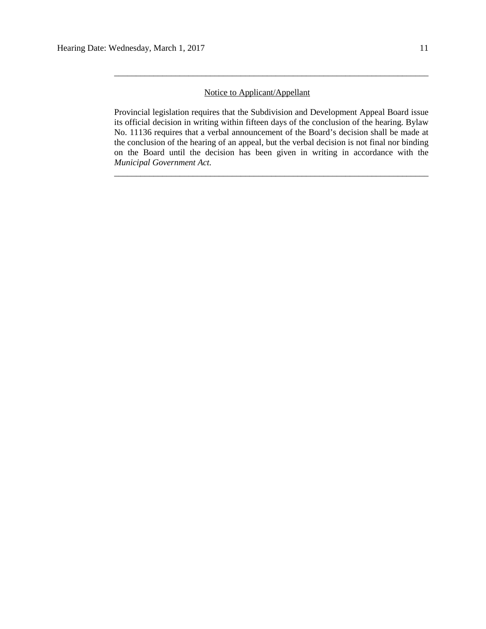# Notice to Applicant/Appellant

Provincial legislation requires that the Subdivision and Development Appeal Board issue its official decision in writing within fifteen days of the conclusion of the hearing. Bylaw No. 11136 requires that a verbal announcement of the Board's decision shall be made at the conclusion of the hearing of an appeal, but the verbal decision is not final nor binding on the Board until the decision has been given in writing in accordance with the *Municipal Government Act.*

\_\_\_\_\_\_\_\_\_\_\_\_\_\_\_\_\_\_\_\_\_\_\_\_\_\_\_\_\_\_\_\_\_\_\_\_\_\_\_\_\_\_\_\_\_\_\_\_\_\_\_\_\_\_\_\_\_\_\_\_\_\_\_\_\_\_\_\_\_\_\_\_

\_\_\_\_\_\_\_\_\_\_\_\_\_\_\_\_\_\_\_\_\_\_\_\_\_\_\_\_\_\_\_\_\_\_\_\_\_\_\_\_\_\_\_\_\_\_\_\_\_\_\_\_\_\_\_\_\_\_\_\_\_\_\_\_\_\_\_\_\_\_\_\_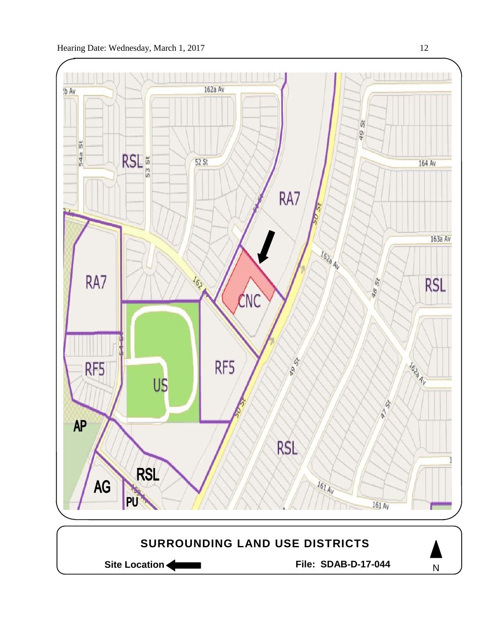

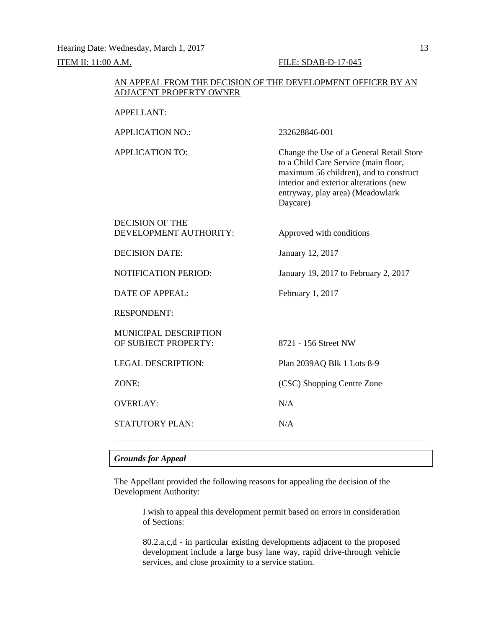#### **ITEM II: 11:00 A.M. FILE: SDAB-D-17-045**

# AN APPEAL FROM THE DECISION OF THE DEVELOPMENT OFFICER BY AN ADJACENT PROPERTY OWNER

| <b>APPELLANT:</b>                                    |                                                                                                                                                                                                                      |
|------------------------------------------------------|----------------------------------------------------------------------------------------------------------------------------------------------------------------------------------------------------------------------|
| <b>APPLICATION NO.:</b>                              | 232628846-001                                                                                                                                                                                                        |
| <b>APPLICATION TO:</b>                               | Change the Use of a General Retail Store<br>to a Child Care Service (main floor,<br>maximum 56 children), and to construct<br>interior and exterior alterations (new<br>entryway, play area) (Meadowlark<br>Daycare) |
| <b>DECISION OF THE</b><br>DEVELOPMENT AUTHORITY:     | Approved with conditions                                                                                                                                                                                             |
| <b>DECISION DATE:</b>                                | January 12, 2017                                                                                                                                                                                                     |
| <b>NOTIFICATION PERIOD:</b>                          | January 19, 2017 to February 2, 2017                                                                                                                                                                                 |
| <b>DATE OF APPEAL:</b>                               | February 1, 2017                                                                                                                                                                                                     |
| <b>RESPONDENT:</b>                                   |                                                                                                                                                                                                                      |
| <b>MUNICIPAL DESCRIPTION</b><br>OF SUBJECT PROPERTY: | 8721 - 156 Street NW                                                                                                                                                                                                 |
| <b>LEGAL DESCRIPTION:</b>                            | Plan 2039AQ Blk 1 Lots 8-9                                                                                                                                                                                           |
| ZONE:                                                | (CSC) Shopping Centre Zone                                                                                                                                                                                           |
| <b>OVERLAY:</b>                                      | N/A                                                                                                                                                                                                                  |
| STATUTORY PLAN:                                      | N/A                                                                                                                                                                                                                  |

# *Grounds for Appeal*

The Appellant provided the following reasons for appealing the decision of the Development Authority:

> I wish to appeal this development permit based on errors in consideration of Sections:

> 80.2.a,c,d - in particular existing developments adjacent to the proposed development include a large busy lane way, rapid drive-through vehicle services, and close proximity to a service station.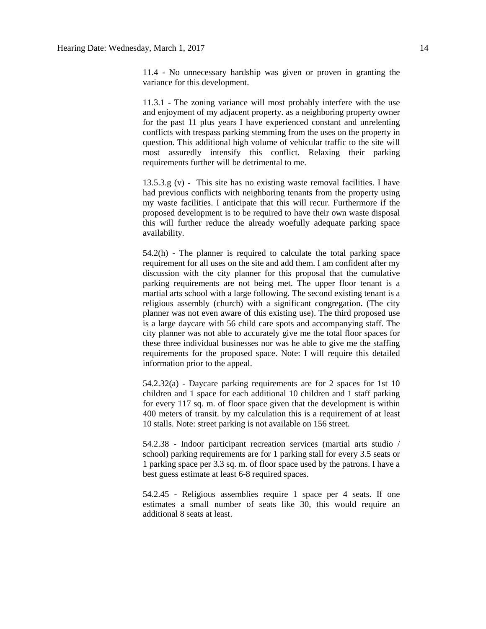11.4 - No unnecessary hardship was given or proven in granting the variance for this development.

11.3.1 - The zoning variance will most probably interfere with the use and enjoyment of my adjacent property. as a neighboring property owner for the past 11 plus years I have experienced constant and unrelenting conflicts with trespass parking stemming from the uses on the property in question. This additional high volume of vehicular traffic to the site will most assuredly intensify this conflict. Relaxing their parking requirements further will be detrimental to me.

13.5.3.g (v) - This site has no existing waste removal facilities. I have had previous conflicts with neighboring tenants from the property using my waste facilities. I anticipate that this will recur. Furthermore if the proposed development is to be required to have their own waste disposal this will further reduce the already woefully adequate parking space availability.

54.2(h) - The planner is required to calculate the total parking space requirement for all uses on the site and add them. I am confident after my discussion with the city planner for this proposal that the cumulative parking requirements are not being met. The upper floor tenant is a martial arts school with a large following. The second existing tenant is a religious assembly (church) with a significant congregation. (The city planner was not even aware of this existing use). The third proposed use is a large daycare with 56 child care spots and accompanying staff. The city planner was not able to accurately give me the total floor spaces for these three individual businesses nor was he able to give me the staffing requirements for the proposed space. Note: I will require this detailed information prior to the appeal.

54.2.32(a) - Daycare parking requirements are for 2 spaces for 1st 10 children and 1 space for each additional 10 children and 1 staff parking for every 117 sq. m. of floor space given that the development is within 400 meters of transit. by my calculation this is a requirement of at least 10 stalls. Note: street parking is not available on 156 street.

54.2.38 - Indoor participant recreation services (martial arts studio / school) parking requirements are for 1 parking stall for every 3.5 seats or 1 parking space per 3.3 sq. m. of floor space used by the patrons. I have a best guess estimate at least 6-8 required spaces.

54.2.45 - Religious assemblies require 1 space per 4 seats. If one estimates a small number of seats like 30, this would require an additional 8 seats at least.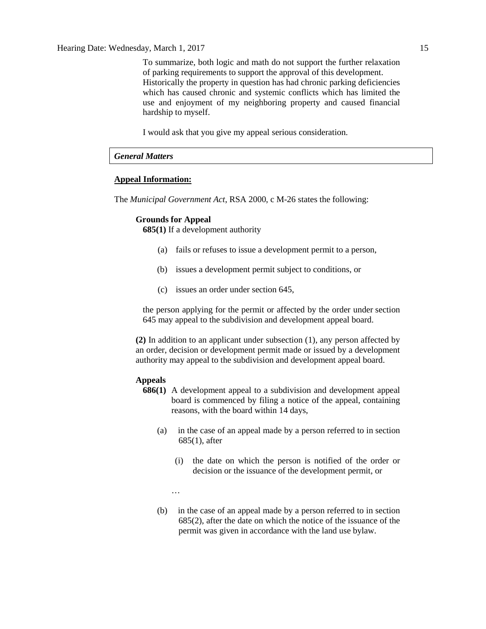Hearing Date: Wednesday, March 1, 2017 15

To summarize, both logic and math do not support the further relaxation of parking requirements to support the approval of this development. Historically the property in question has had chronic parking deficiencies which has caused chronic and systemic conflicts which has limited the use and enjoyment of my neighboring property and caused financial hardship to myself.

I would ask that you give my appeal serious consideration.

# *General Matters*

### **Appeal Information:**

The *Municipal Government Act*, RSA 2000, c M-26 states the following:

### **Grounds for Appeal**

**685(1)** If a development authority

- (a) fails or refuses to issue a development permit to a person,
- (b) issues a development permit subject to conditions, or
- (c) issues an order under section 645,

the person applying for the permit or affected by the order under section 645 may appeal to the subdivision and development appeal board.

**(2)** In addition to an applicant under subsection (1), any person affected by an order, decision or development permit made or issued by a development authority may appeal to the subdivision and development appeal board.

#### **Appeals**

- **686(1)** A development appeal to a subdivision and development appeal board is commenced by filing a notice of the appeal, containing reasons, with the board within 14 days,
	- (a) in the case of an appeal made by a person referred to in section 685(1), after
		- (i) the date on which the person is notified of the order or decision or the issuance of the development permit, or

…

(b) in the case of an appeal made by a person referred to in section 685(2), after the date on which the notice of the issuance of the permit was given in accordance with the land use bylaw.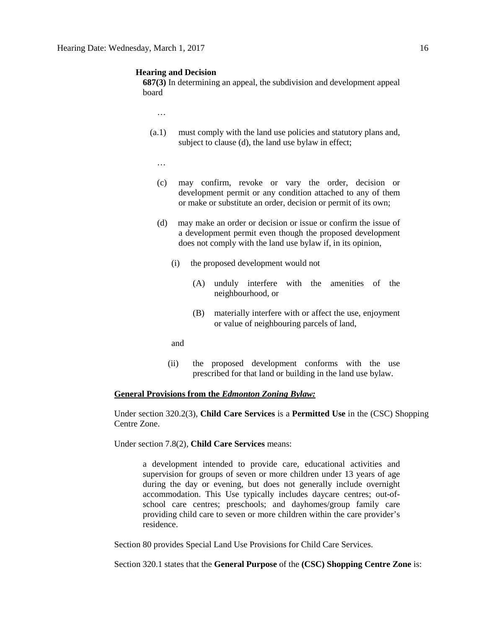#### **Hearing and Decision**

**687(3)** In determining an appeal, the subdivision and development appeal board

…

- (a.1) must comply with the land use policies and statutory plans and, subject to clause (d), the land use bylaw in effect;
	- …
	- (c) may confirm, revoke or vary the order, decision or development permit or any condition attached to any of them or make or substitute an order, decision or permit of its own;
	- (d) may make an order or decision or issue or confirm the issue of a development permit even though the proposed development does not comply with the land use bylaw if, in its opinion,
		- (i) the proposed development would not
			- (A) unduly interfere with the amenities of the neighbourhood, or
			- (B) materially interfere with or affect the use, enjoyment or value of neighbouring parcels of land,

and

(ii) the proposed development conforms with the use prescribed for that land or building in the land use bylaw.

#### **General Provisions from the** *Edmonton Zoning Bylaw:*

Under section 320.2(3), **Child Care Services** is a **Permitted Use** in the (CSC) Shopping Centre Zone.

Under section 7.8(2), **Child Care Services** means:

a development intended to provide care, educational activities and supervision for groups of seven or more children under 13 years of age during the day or evening, but does not generally include overnight accommodation. This Use typically includes daycare centres; out-ofschool care centres; preschools; and dayhomes/group family care providing child care to seven or more children within the care provider's residence.

Section 80 provides Special Land Use Provisions for Child Care Services.

Section 320.1 states that the **General Purpose** of the **(CSC) Shopping Centre Zone** is: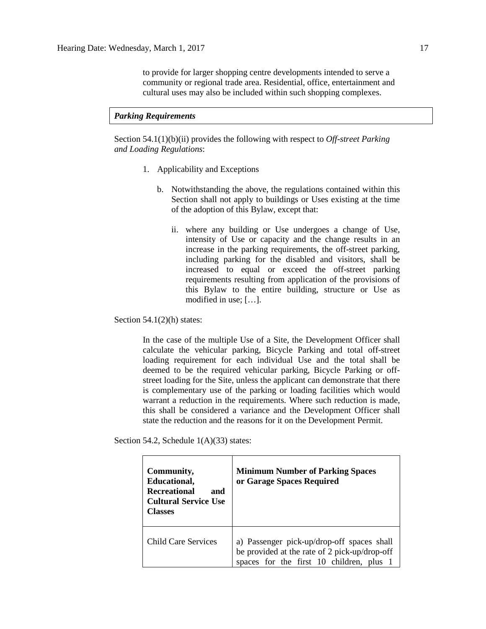to provide for larger shopping centre developments intended to serve a community or regional trade area. Residential, office, entertainment and cultural uses may also be included within such shopping complexes.

#### *Parking Requirements*

Section 54.1(1)(b)(ii) provides the following with respect to *Off-street Parking and Loading Regulations*:

- 1. Applicability and Exceptions
	- b. Notwithstanding the above, the regulations contained within this Section shall not apply to buildings or Uses existing at the time of the adoption of this Bylaw, except that:
		- ii. where any building or Use undergoes a change of Use, intensity of Use or capacity and the change results in an increase in the parking requirements, the off-street parking, including parking for the disabled and visitors, shall be increased to equal or exceed the off-street parking requirements resulting from application of the provisions of this Bylaw to the entire building, structure or Use as modified in use; […].

Section  $54.1(2)$ (h) states:

In the case of the multiple Use of a Site, the Development Officer shall calculate the vehicular parking, Bicycle Parking and total off-street loading requirement for each individual Use and the total shall be deemed to be the required vehicular parking, Bicycle Parking or offstreet loading for the Site, unless the applicant can demonstrate that there is complementary use of the parking or loading facilities which would warrant a reduction in the requirements. Where such reduction is made, this shall be considered a variance and the Development Officer shall state the reduction and the reasons for it on the Development Permit.

Section 54.2, Schedule 1(A)(33) states:

| Community,<br>Educational,<br><b>Recreational</b><br>and<br><b>Cultural Service Use</b><br><b>Classes</b> | <b>Minimum Number of Parking Spaces</b><br>or Garage Spaces Required                                                                  |  |  |
|-----------------------------------------------------------------------------------------------------------|---------------------------------------------------------------------------------------------------------------------------------------|--|--|
| <b>Child Care Services</b>                                                                                | a) Passenger pick-up/drop-off spaces shall<br>be provided at the rate of 2 pick-up/drop-off<br>spaces for the first 10 children, plus |  |  |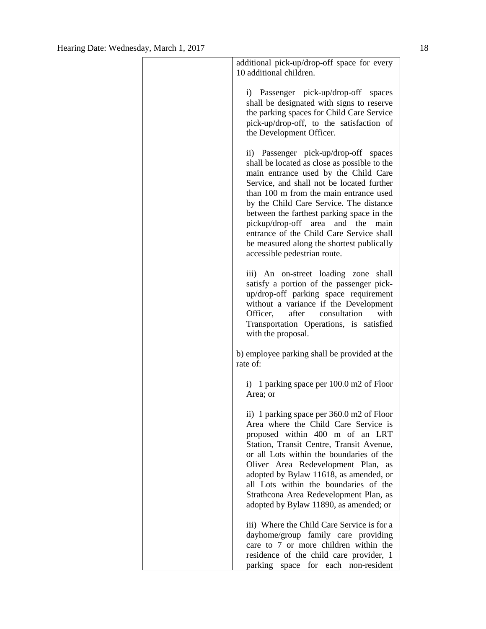| additional pick-up/drop-off space for every<br>10 additional children.                                                                                                                                                                                                                                                                                                                                                                                                     |
|----------------------------------------------------------------------------------------------------------------------------------------------------------------------------------------------------------------------------------------------------------------------------------------------------------------------------------------------------------------------------------------------------------------------------------------------------------------------------|
| i) Passenger pick-up/drop-off spaces<br>shall be designated with signs to reserve<br>the parking spaces for Child Care Service<br>pick-up/drop-off, to the satisfaction of<br>the Development Officer.                                                                                                                                                                                                                                                                     |
| ii) Passenger pick-up/drop-off spaces<br>shall be located as close as possible to the<br>main entrance used by the Child Care<br>Service, and shall not be located further<br>than 100 m from the main entrance used<br>by the Child Care Service. The distance<br>between the farthest parking space in the<br>pickup/drop-off area and the main<br>entrance of the Child Care Service shall<br>be measured along the shortest publically<br>accessible pedestrian route. |
| iii) An on-street loading zone<br>shall<br>satisfy a portion of the passenger pick-<br>up/drop-off parking space requirement<br>without a variance if the Development<br>after consultation with<br>Officer,<br>Transportation Operations, is satisfied<br>with the proposal.                                                                                                                                                                                              |
| b) employee parking shall be provided at the<br>rate of:                                                                                                                                                                                                                                                                                                                                                                                                                   |
| i) 1 parking space per 100.0 m2 of Floor<br>Area; or                                                                                                                                                                                                                                                                                                                                                                                                                       |
| ii) 1 parking space per 360.0 m2 of Floor<br>Area where the Child Care Service is<br>proposed within 400 m of an LRT<br>Station, Transit Centre, Transit Avenue,<br>or all Lots within the boundaries of the<br>Oliver Area Redevelopment Plan,<br>as<br>adopted by Bylaw 11618, as amended, or<br>all Lots within the boundaries of the<br>Strathcona Area Redevelopment Plan, as<br>adopted by Bylaw 11890, as amended; or                                               |
| iii) Where the Child Care Service is for a<br>dayhome/group family care providing<br>care to 7 or more children within the<br>residence of the child care provider, 1<br>parking space for each non-resident                                                                                                                                                                                                                                                               |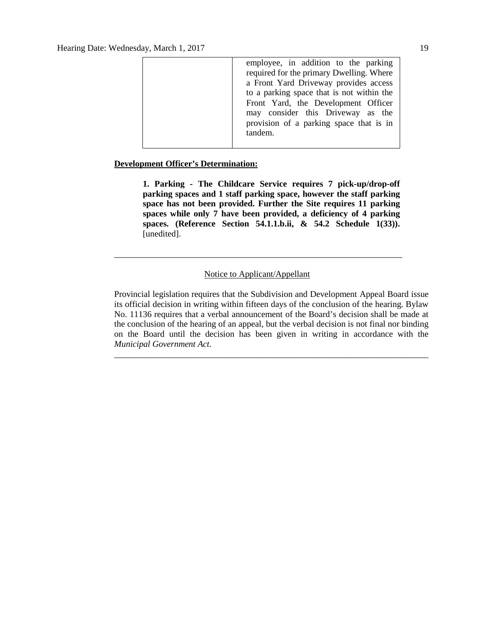| employee, in addition to the parking      |
|-------------------------------------------|
| required for the primary Dwelling. Where  |
| a Front Yard Driveway provides access     |
| to a parking space that is not within the |
| Front Yard, the Development Officer       |
| may consider this Driveway as the         |
| provision of a parking space that is in   |
| tandem.                                   |
|                                           |

### **Development Officer's Determination:**

**1. Parking - The Childcare Service requires 7 pick-up/drop-off parking spaces and 1 staff parking space, however the staff parking space has not been provided. Further the Site requires 11 parking spaces while only 7 have been provided, a deficiency of 4 parking spaces. (Reference Section 54.1.1.b.ii, & 54.2 Schedule 1(33)).**  [unedited].

# Notice to Applicant/Appellant

\_\_\_\_\_\_\_\_\_\_\_\_\_\_\_\_\_\_\_\_\_\_\_\_\_\_\_\_\_\_\_\_\_\_\_\_\_\_\_\_\_\_\_\_\_\_\_\_\_\_\_\_\_\_\_\_\_\_\_\_\_\_\_\_\_\_

Provincial legislation requires that the Subdivision and Development Appeal Board issue its official decision in writing within fifteen days of the conclusion of the hearing. Bylaw No. 11136 requires that a verbal announcement of the Board's decision shall be made at the conclusion of the hearing of an appeal, but the verbal decision is not final nor binding on the Board until the decision has been given in writing in accordance with the *Municipal Government Act.*

\_\_\_\_\_\_\_\_\_\_\_\_\_\_\_\_\_\_\_\_\_\_\_\_\_\_\_\_\_\_\_\_\_\_\_\_\_\_\_\_\_\_\_\_\_\_\_\_\_\_\_\_\_\_\_\_\_\_\_\_\_\_\_\_\_\_\_\_\_\_\_\_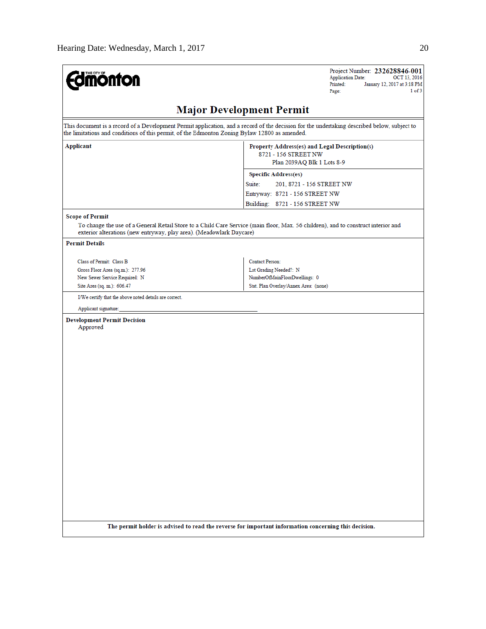| <b>mönton</b>                                                                                                                                                                                                                                | Project Number: 232628846-001<br><b>Application Date:</b><br>OCT 13, 2016<br>Printed:<br>January 12, 2017 at 3:18 PM<br>1 of 3<br>Page: |
|----------------------------------------------------------------------------------------------------------------------------------------------------------------------------------------------------------------------------------------------|-----------------------------------------------------------------------------------------------------------------------------------------|
|                                                                                                                                                                                                                                              | <b>Major Development Permit</b>                                                                                                         |
| This document is a record of a Development Permit application, and a record of the decision for the undertaking described below, subject to<br>the limitations and conditions of this permit, of the Edmonton Zoning Bylaw 12800 as amended. |                                                                                                                                         |
| <b>Applicant</b>                                                                                                                                                                                                                             | Property Address(es) and Legal Description(s)<br>8721 - 156 STREET NW<br>Plan 2039AQ Blk 1 Lots 8-9                                     |
|                                                                                                                                                                                                                                              | <b>Specific Address(es)</b>                                                                                                             |
|                                                                                                                                                                                                                                              | Suite:<br>201, 8721 - 156 STREET NW                                                                                                     |
|                                                                                                                                                                                                                                              | Entryway: 8721 - 156 STREET NW<br>Building: 8721 - 156 STREET NW                                                                        |
| <b>Scope of Permit</b>                                                                                                                                                                                                                       |                                                                                                                                         |
| To change the use of a General Retail Store to a Child Care Service (main floor, Max. 56 children), and to construct interior and<br>exterior alterations (new entryway, play area). (Meadowlark Daycare)                                    |                                                                                                                                         |
| <b>Permit Details</b>                                                                                                                                                                                                                        |                                                                                                                                         |
| Class of Permit: Class B                                                                                                                                                                                                                     | Contact Person:                                                                                                                         |
| Gross Floor Area (sq.m.): 277.96                                                                                                                                                                                                             | Lot Grading Needed?: N                                                                                                                  |
| New Sewer Service Required: N                                                                                                                                                                                                                | NumberOfMainFloorDwellings: 0                                                                                                           |
| Site Area (sq. m.): 606.47                                                                                                                                                                                                                   | Stat. Plan Overlay/Annex Area: (none)                                                                                                   |
| I/We certify that the above noted details are correct.                                                                                                                                                                                       |                                                                                                                                         |
| Applicant signature:                                                                                                                                                                                                                         |                                                                                                                                         |
| <b>Development Permit Decision</b><br>Approved                                                                                                                                                                                               |                                                                                                                                         |
|                                                                                                                                                                                                                                              |                                                                                                                                         |
|                                                                                                                                                                                                                                              |                                                                                                                                         |
|                                                                                                                                                                                                                                              |                                                                                                                                         |
|                                                                                                                                                                                                                                              |                                                                                                                                         |
|                                                                                                                                                                                                                                              |                                                                                                                                         |
|                                                                                                                                                                                                                                              |                                                                                                                                         |
|                                                                                                                                                                                                                                              |                                                                                                                                         |
|                                                                                                                                                                                                                                              |                                                                                                                                         |
|                                                                                                                                                                                                                                              |                                                                                                                                         |
|                                                                                                                                                                                                                                              |                                                                                                                                         |
|                                                                                                                                                                                                                                              |                                                                                                                                         |
|                                                                                                                                                                                                                                              |                                                                                                                                         |
|                                                                                                                                                                                                                                              |                                                                                                                                         |
|                                                                                                                                                                                                                                              |                                                                                                                                         |
|                                                                                                                                                                                                                                              |                                                                                                                                         |
|                                                                                                                                                                                                                                              |                                                                                                                                         |
|                                                                                                                                                                                                                                              |                                                                                                                                         |
| The permit holder is advised to read the reverse for important information concerning this decision.                                                                                                                                         |                                                                                                                                         |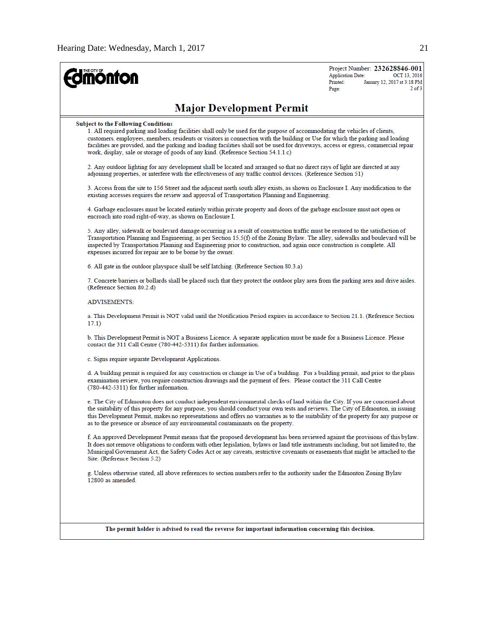| <b>ñönfon</b>                                                                                                                                                                                                                                                                                                                                                                                                                                                                                                                           | Project Number: 232628846-001<br><b>Application Date:</b><br>OCT 13, 2016<br>Printed:<br>January 12, 2017 at 3:18 PM<br>$2$ of $3$<br>Page: |
|-----------------------------------------------------------------------------------------------------------------------------------------------------------------------------------------------------------------------------------------------------------------------------------------------------------------------------------------------------------------------------------------------------------------------------------------------------------------------------------------------------------------------------------------|---------------------------------------------------------------------------------------------------------------------------------------------|
| <b>Major Development Permit</b>                                                                                                                                                                                                                                                                                                                                                                                                                                                                                                         |                                                                                                                                             |
| <b>Subject to the Following Conditions</b><br>1. All required parking and loading facilities shall only be used for the purpose of accommodating the vehicles of clients,<br>customers, employees, members, residents or visitors in connection with the building or Use for which the parking and loading<br>facilities are provided, and the parking and loading facilities shall not be used for driveways, access or egress, commercial repair<br>work, display, sale or storage of goods of any kind. (Reference Section 54.1.1.c) |                                                                                                                                             |
| 2. Any outdoor lighting for any development shall be located and arranged so that no direct rays of light are directed at any<br>adjoining properties, or interfere with the effectiveness of any traffic control devices. (Reference Section 51)                                                                                                                                                                                                                                                                                       |                                                                                                                                             |
| 3. Access from the site to 156 Street and the adjacent north south alley exists, as shown on Enclosure I. Any modification to the<br>existing accesses requires the review and approval of Transportation Planning and Engineering.                                                                                                                                                                                                                                                                                                     |                                                                                                                                             |
| 4. Garbage enclosures must be located entirely within private property and doors of the garbage enclosure must not open or<br>encroach into road right-of-way, as shown on Enclosure I.                                                                                                                                                                                                                                                                                                                                                 |                                                                                                                                             |
| 5. Any alley, sidewalk or boulevard damage occurring as a result of construction traffic must be restored to the satisfaction of<br>Transportation Planning and Engineering, as per Section 15.5(f) of the Zoning Bylaw. The alley, sidewalks and boulevard will be<br>inspected by Transportation Planning and Engineering prior to construction, and again once construction is complete. All<br>expenses incurred for repair are to be borne by the owner.                                                                           |                                                                                                                                             |
| 6. All gate in the outdoor playspace shall be self latching. (Reference Section 80.3.a)                                                                                                                                                                                                                                                                                                                                                                                                                                                 |                                                                                                                                             |
| 7. Concrete barriers or bollards shall be placed such that they protect the outdoor play area from the parking area and drive aisles.<br>(Reference Section 80.2.d)                                                                                                                                                                                                                                                                                                                                                                     |                                                                                                                                             |
| <b>ADVISEMENTS:</b>                                                                                                                                                                                                                                                                                                                                                                                                                                                                                                                     |                                                                                                                                             |
| a. This Development Permit is NOT valid until the Notification Period expires in accordance to Section 21.1. (Reference Section<br>17.1)                                                                                                                                                                                                                                                                                                                                                                                                |                                                                                                                                             |
| b. This Development Permit is NOT a Business Licence. A separate application must be made for a Business Licence. Please<br>contact the 311 Call Centre (780-442-5311) for further information.                                                                                                                                                                                                                                                                                                                                         |                                                                                                                                             |
| c. Signs require separate Development Applications.                                                                                                                                                                                                                                                                                                                                                                                                                                                                                     |                                                                                                                                             |
| d. A building permit is required for any construction or change in Use of a building. For a building permit, and prior to the plans<br>examination review, you require construction drawings and the payment of fees. Please contact the 311 Call Centre<br>(780-442-5311) for further information.                                                                                                                                                                                                                                     |                                                                                                                                             |
| e. The City of Edmonton does not conduct independent environmental checks of land within the City. If you are concerned about<br>the suitability of this property for any purpose, you should conduct your own tests and reviews. The City of Edmonton, in issuing<br>this Development Permit, makes no representations and offers no warranties as to the suitability of the property for any purpose or<br>as to the presence or absence of any environmental contaminants on the property.                                           |                                                                                                                                             |
| f. An approved Development Permit means that the proposed development has been reviewed against the provisions of this bylaw.<br>It does not remove obligations to conform with other legislation, bylaws or land title instruments including, but not limited to, the<br>Municipal Government Act, the Safety Codes Act or any caveats, restrictive covenants or easements that might be attached to the<br>Site. (Reference Section 5.2)                                                                                              |                                                                                                                                             |
| g. Unless otherwise stated, all above references to section numbers refer to the authority under the Edmonton Zoning Bylaw<br>12800 as amended.                                                                                                                                                                                                                                                                                                                                                                                         |                                                                                                                                             |
|                                                                                                                                                                                                                                                                                                                                                                                                                                                                                                                                         |                                                                                                                                             |
| The permit holder is advised to read the reverse for important information concerning this decision.                                                                                                                                                                                                                                                                                                                                                                                                                                    |                                                                                                                                             |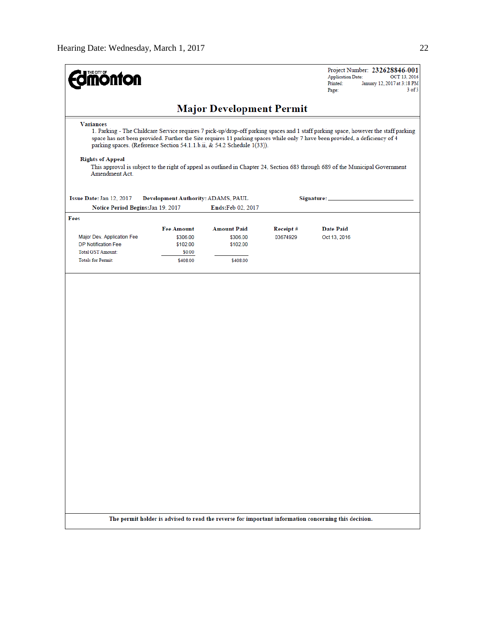| <b>monton</b>                                                                                                                                                                                                                                                                                                                                                                                                                                                                                                                                                                      |                                                                 |                                                        |                      | Project Number: 232628846-001<br><b>Application Date:</b><br>OCT 13, 2016<br>Printed:<br>January 12, 2017 at 3:18 PM<br>$3$ of $3$<br>Page: |
|------------------------------------------------------------------------------------------------------------------------------------------------------------------------------------------------------------------------------------------------------------------------------------------------------------------------------------------------------------------------------------------------------------------------------------------------------------------------------------------------------------------------------------------------------------------------------------|-----------------------------------------------------------------|--------------------------------------------------------|----------------------|---------------------------------------------------------------------------------------------------------------------------------------------|
|                                                                                                                                                                                                                                                                                                                                                                                                                                                                                                                                                                                    |                                                                 |                                                        |                      |                                                                                                                                             |
| <b>Major Development Permit</b><br><b>Variances</b><br>1. Parking - The Childcare Service requires 7 pick-up/drop-off parking spaces and 1 staff parking space, however the staff parking<br>space has not been provided. Further the Site requires 11 parking spaces while only 7 have been provided, a deficiency of 4<br>parking spaces. (Reference Section 54.1.1.b.ii, & 54.2 Schedule 1(33)).<br><b>Rights of Appeal</b><br>This approval is subject to the right of appeal as outlined in Chapter 24, Section 683 through 689 of the Municipal Government<br>Amendment Act. |                                                                 |                                                        |                      |                                                                                                                                             |
| Issue Date: Jan 12, 2017<br>Notice Period Begins: Jan 19, 2017                                                                                                                                                                                                                                                                                                                                                                                                                                                                                                                     | Development Authority: ADAMS, PAUL                              | Ends:Feb 02, 2017                                      |                      | Signature:                                                                                                                                  |
| Fees<br>Major Dev. Application Fee<br><b>DP Notification Fee</b><br><b>Total GST Amount:</b><br><b>Totals for Permit:</b>                                                                                                                                                                                                                                                                                                                                                                                                                                                          | <b>Fee Amount</b><br>\$306.00<br>\$102.00<br>\$0.00<br>\$408.00 | <b>Amount Paid</b><br>\$306.00<br>\$102.00<br>\$408.00 | Receipt#<br>03674929 | <b>Date Paid</b><br>Oct 13, 2016                                                                                                            |
|                                                                                                                                                                                                                                                                                                                                                                                                                                                                                                                                                                                    |                                                                 |                                                        |                      | The permit holder is advised to read the reverse for important information concerning this decision.                                        |